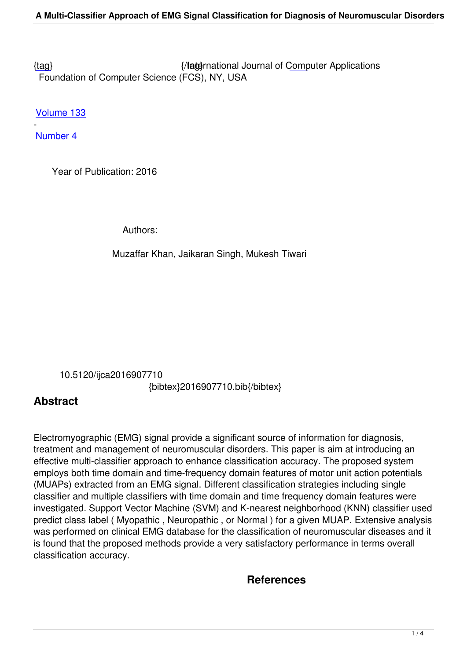{tag} International Journal of Computer Applications Foundation of Computer Science (FCS), NY, USA

[Volu](/research/volume133/number4/khan-2016-ijca-907710.pdf)me 133

- Number 4

 [Year o](/archives/volume133/number4)f Publication: 2016

Authors:

Muzaffar Khan, Jaikaran Singh, Mukesh Tiwari

 10.5120/ijca2016907710 {bibtex}2016907710.bib{/bibtex}

## **Abstract**

Electromyographic (EMG) signal provide a significant source of information for diagnosis, treatment and management of neuromuscular disorders. This paper is aim at introducing an effective multi-classifier approach to enhance classification accuracy. The proposed system employs both time domain and time-frequency domain features of motor unit action potentials (MUAPs) extracted from an EMG signal. Different classification strategies including single classifier and multiple classifiers with time domain and time frequency domain features were investigated. Support Vector Machine (SVM) and K-nearest neighborhood (KNN) classifier used predict class label ( Myopathic , Neuropathic , or Normal ) for a given MUAP. Extensive analysis was performed on clinical EMG database for the classification of neuromuscular diseases and it is found that the proposed methods provide a very satisfactory performance in terms overall classification accuracy.

## **References**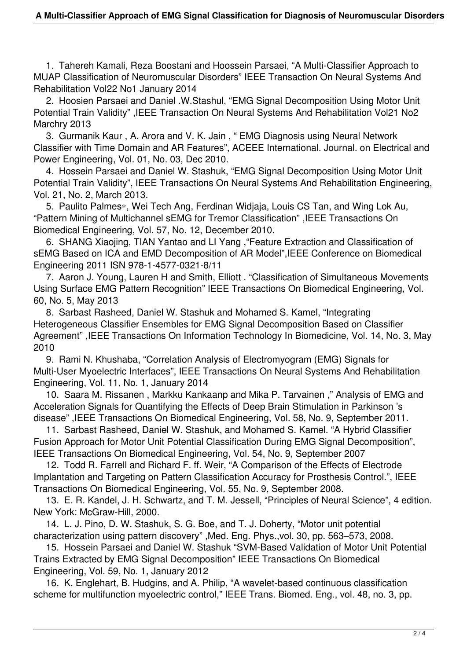1. Tahereh Kamali, Reza Boostani and Hoossein Parsaei, "A Multi-Classifier Approach to MUAP Classification of Neuromuscular Disorders" IEEE Transaction On Neural Systems And Rehabilitation Vol22 No1 January 2014

 2. Hoosien Parsaei and Daniel .W.Stashul, "EMG Signal Decomposition Using Motor Unit Potential Train Validity" ,IEEE Transaction On Neural Systems And Rehabilitation Vol21 No2 Marchry 2013

 3. Gurmanik Kaur , A. Arora and V. K. Jain , " EMG Diagnosis using Neural Network Classifier with Time Domain and AR Features", ACEEE International. Journal. on Electrical and Power Engineering, Vol. 01, No. 03, Dec 2010.

 4. Hossein Parsaei and Daniel W. Stashuk, "EMG Signal Decomposition Using Motor Unit Potential Train Validity", IEEE Transactions On Neural Systems And Rehabilitation Engineering, Vol. 21, No. 2, March 2013.

 5. Paulito Palmes∗, Wei Tech Ang, Ferdinan Widjaja, Louis CS Tan, and Wing Lok Au, "Pattern Mining of Multichannel sEMG for Tremor Classification" ,IEEE Transactions On Biomedical Engineering, Vol. 57, No. 12, December 2010.

 6. SHANG Xiaojing, TIAN Yantao and LI Yang ,"Feature Extraction and Classification of sEMG Based on ICA and EMD Decomposition of AR Model",IEEE Conference on Biomedical Engineering 2011 ISN 978-1-4577-0321-8/11

 7. Aaron J. Young, Lauren H and Smith, Elliott . "Classification of Simultaneous Movements Using Surface EMG Pattern Recognition" IEEE Transactions On Biomedical Engineering, Vol. 60, No. 5, May 2013

 8. Sarbast Rasheed, Daniel W. Stashuk and Mohamed S. Kamel, "Integrating Heterogeneous Classifier Ensembles for EMG Signal Decomposition Based on Classifier Agreement" ,IEEE Transactions On Information Technology In Biomedicine, Vol. 14, No. 3, May 2010

 9. Rami N. Khushaba, "Correlation Analysis of Electromyogram (EMG) Signals for Multi-User Myoelectric Interfaces", IEEE Transactions On Neural Systems And Rehabilitation Engineering, Vol. 11, No. 1, January 2014

 10. Saara M. Rissanen , Markku Kankaanp and Mika P. Tarvainen ," Analysis of EMG and Acceleration Signals for Quantifying the Effects of Deep Brain Stimulation in Parkinson 's disease" ,IEEE Transactions On Biomedical Engineering, Vol. 58, No. 9, September 2011.

 11. Sarbast Rasheed, Daniel W. Stashuk, and Mohamed S. Kamel. "A Hybrid Classifier Fusion Approach for Motor Unit Potential Classification During EMG Signal Decomposition", IEEE Transactions On Biomedical Engineering, Vol. 54, No. 9, September 2007

 12. Todd R. Farrell and Richard F. ff. Weir, "A Comparison of the Effects of Electrode Implantation and Targeting on Pattern Classification Accuracy for Prosthesis Control.", IEEE Transactions On Biomedical Engineering, Vol. 55, No. 9, September 2008.

 13. E. R. Kandel, J. H. Schwartz, and T. M. Jessell, "Principles of Neural Science", 4 edition. New York: McGraw-Hill, 2000.

 14. L. J. Pino, D. W. Stashuk, S. G. Boe, and T. J. Doherty, "Motor unit potential characterization using pattern discovery" ,Med. Eng. Phys.,vol. 30, pp. 563–573, 2008.

 15. Hossein Parsaei and Daniel W. Stashuk "SVM-Based Validation of Motor Unit Potential Trains Extracted by EMG Signal Decomposition" IEEE Transactions On Biomedical Engineering, Vol. 59, No. 1, January 2012

 16. K. Englehart, B. Hudgins, and A. Philip, "A wavelet-based continuous classification scheme for multifunction myoelectric control," IEEE Trans. Biomed. Eng., vol. 48, no. 3, pp.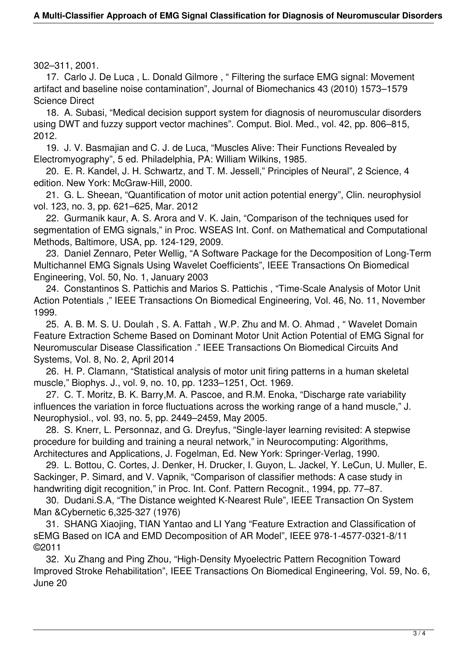302–311, 2001.

 17. Carlo J. De Luca , L. Donald Gilmore , " Filtering the surface EMG signal: Movement artifact and baseline noise contamination", Journal of Biomechanics 43 (2010) 1573–1579 Science Direct

 18. A. Subasi, "Medical decision support system for diagnosis of neuromuscular disorders using DWT and fuzzy support vector machines". Comput. Biol. Med., vol. 42, pp. 806–815, 2012.

 19. J. V. Basmajian and C. J. de Luca, "Muscles Alive: Their Functions Revealed by Electromyography", 5 ed. Philadelphia, PA: William Wilkins, 1985.

 20. E. R. Kandel, J. H. Schwartz, and T. M. Jessell," Principles of Neural", 2 Science, 4 edition. New York: McGraw-Hill, 2000.

 21. G. L. Sheean, "Quantification of motor unit action potential energy", Clin. neurophysiol vol. 123, no. 3, pp. 621–625, Mar. 2012

 22. Gurmanik kaur, A. S. Arora and V. K. Jain, "Comparison of the techniques used for segmentation of EMG signals," in Proc. WSEAS Int. Conf. on Mathematical and Computational Methods, Baltimore, USA, pp. 124-129, 2009.

 23. Daniel Zennaro, Peter Wellig, "A Software Package for the Decomposition of Long-Term Multichannel EMG Signals Using Wavelet Coefficients", IEEE Transactions On Biomedical Engineering, Vol. 50, No. 1, January 2003

 24. Constantinos S. Pattichis and Marios S. Pattichis , "Time-Scale Analysis of Motor Unit Action Potentials ," IEEE Transactions On Biomedical Engineering, Vol. 46, No. 11, November 1999.

 25. A. B. M. S. U. Doulah , S. A. Fattah , W.P. Zhu and M. O. Ahmad , " Wavelet Domain Feature Extraction Scheme Based on Dominant Motor Unit Action Potential of EMG Signal for Neuromuscular Disease Classification ." IEEE Transactions On Biomedical Circuits And Systems, Vol. 8, No. 2, April 2014

 26. H. P. Clamann, "Statistical analysis of motor unit firing patterns in a human skeletal muscle," Biophys. J., vol. 9, no. 10, pp. 1233–1251, Oct. 1969.

 27. C. T. Moritz, B. K. Barry,M. A. Pascoe, and R.M. Enoka, "Discharge rate variability influences the variation in force fluctuations across the working range of a hand muscle," J. Neurophysiol., vol. 93, no. 5, pp. 2449–2459, May 2005.

 28. S. Knerr, L. Personnaz, and G. Dreyfus, "Single-layer learning revisited: A stepwise procedure for building and training a neural network," in Neurocomputing: Algorithms, Architectures and Applications, J. Fogelman, Ed. New York: Springer-Verlag, 1990.

 29. L. Bottou, C. Cortes, J. Denker, H. Drucker, I. Guyon, L. Jackel, Y. LeCun, U. Muller, E. Sackinger, P. Simard, and V. Vapnik, "Comparison of classifier methods: A case study in handwriting digit recognition," in Proc. Int. Conf. Pattern Recognit., 1994, pp. 77–87.

 30. Dudani.S.A, "The Distance weighted K-Nearest Rule", IEEE Transaction On System Man &Cybernetic 6,325-327 (1976)

 31. SHANG Xiaojing, TIAN Yantao and LI Yang "Feature Extraction and Classification of sEMG Based on ICA and EMD Decomposition of AR Model", IEEE 978-1-4577-0321-8/11 ©2011

 32. Xu Zhang and Ping Zhou, "High-Density Myoelectric Pattern Recognition Toward Improved Stroke Rehabilitation", IEEE Transactions On Biomedical Engineering, Vol. 59, No. 6, June 20